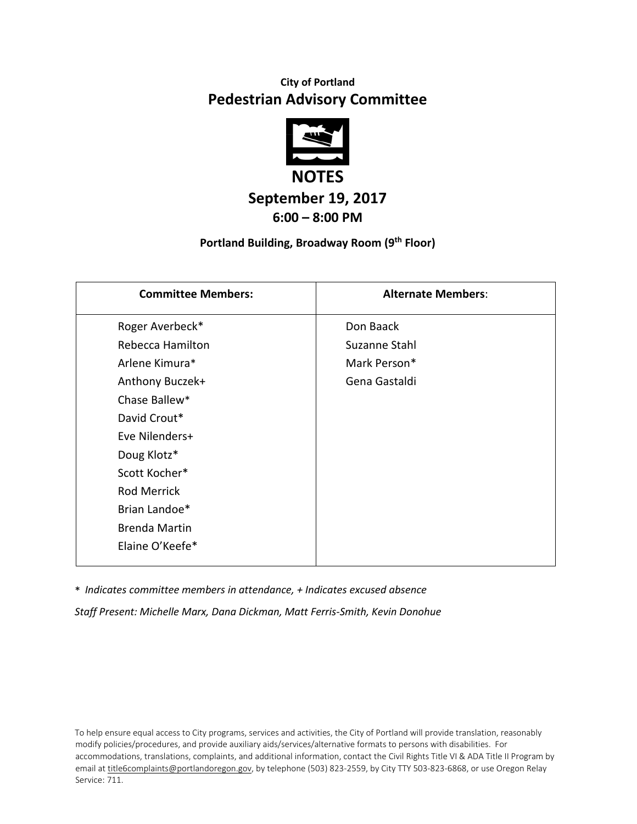# **City of Portland Pedestrian Advisory Committee**



## **September 19, 2017 6:00 – 8:00 PM**

#### **Portland Building, Broadway Room (9th Floor)**

| <b>Committee Members:</b> | <b>Alternate Members:</b> |
|---------------------------|---------------------------|
| Roger Averbeck*           | Don Baack                 |
| Rebecca Hamilton          | Suzanne Stahl             |
| Arlene Kimura*            | Mark Person*              |
| Anthony Buczek+           | Gena Gastaldi             |
| Chase Ballew*             |                           |
| David Crout*              |                           |
| Eve Nilenders+            |                           |
| Doug Klotz*               |                           |
| Scott Kocher*             |                           |
| <b>Rod Merrick</b>        |                           |
| Brian Landoe*             |                           |
| <b>Brenda Martin</b>      |                           |
| Elaine O'Keefe*           |                           |

\* *Indicates committee members in attendance, + Indicates excused absence Staff Present: Michelle Marx, Dana Dickman, Matt Ferris-Smith, Kevin Donohue*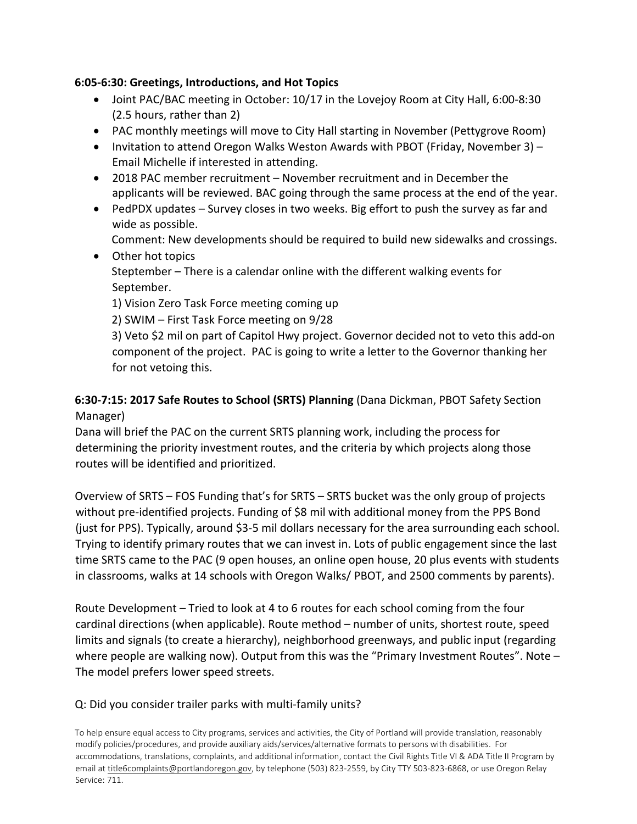#### **6:05-6:30: Greetings, Introductions, and Hot Topics**

- Joint PAC/BAC meeting in October: 10/17 in the Lovejoy Room at City Hall, 6:00-8:30 (2.5 hours, rather than 2)
- PAC monthly meetings will move to City Hall starting in November (Pettygrove Room)
- Invitation to attend Oregon Walks Weston Awards with PBOT (Friday, November 3) Email Michelle if interested in attending.
- 2018 PAC member recruitment November recruitment and in December the applicants will be reviewed. BAC going through the same process at the end of the year.
- PedPDX updates Survey closes in two weeks. Big effort to push the survey as far and wide as possible.
	- Comment: New developments should be required to build new sidewalks and crossings.
- Other hot topics Steptember – There is a calendar online with the different walking events for September.

1) Vision Zero Task Force meeting coming up

2) SWIM – First Task Force meeting on 9/28

3) Veto \$2 mil on part of Capitol Hwy project. Governor decided not to veto this add-on component of the project. PAC is going to write a letter to the Governor thanking her for not vetoing this.

## **6:30-7:15: 2017 Safe Routes to School (SRTS) Planning** (Dana Dickman, PBOT Safety Section Manager)

Dana will brief the PAC on the current SRTS planning work, including the process for determining the priority investment routes, and the criteria by which projects along those routes will be identified and prioritized.

Overview of SRTS – FOS Funding that's for SRTS – SRTS bucket was the only group of projects without pre-identified projects. Funding of \$8 mil with additional money from the PPS Bond (just for PPS). Typically, around \$3-5 mil dollars necessary for the area surrounding each school. Trying to identify primary routes that we can invest in. Lots of public engagement since the last time SRTS came to the PAC (9 open houses, an online open house, 20 plus events with students in classrooms, walks at 14 schools with Oregon Walks/ PBOT, and 2500 comments by parents).

Route Development – Tried to look at 4 to 6 routes for each school coming from the four cardinal directions (when applicable). Route method – number of units, shortest route, speed limits and signals (to create a hierarchy), neighborhood greenways, and public input (regarding where people are walking now). Output from this was the "Primary Investment Routes". Note – The model prefers lower speed streets.

## Q: Did you consider trailer parks with multi-family units?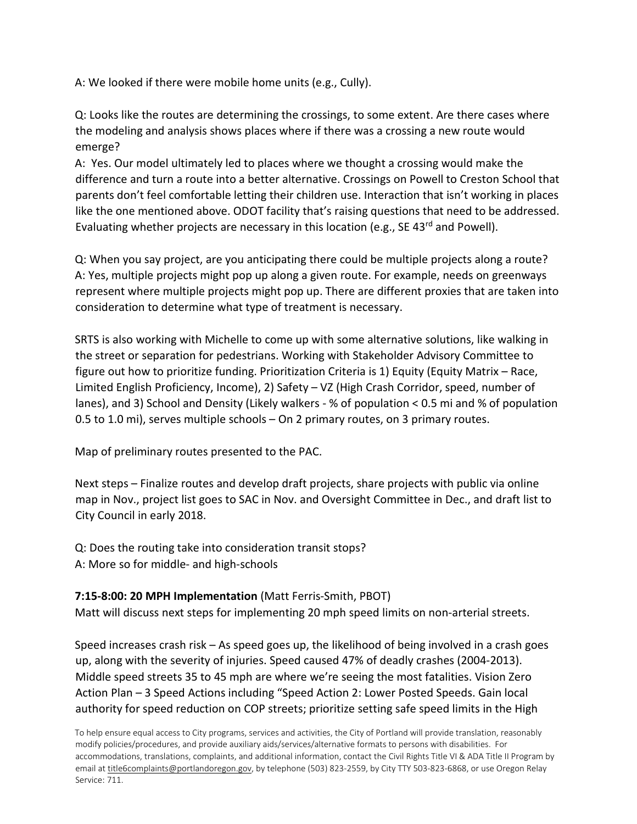A: We looked if there were mobile home units (e.g., Cully).

Q: Looks like the routes are determining the crossings, to some extent. Are there cases where the modeling and analysis shows places where if there was a crossing a new route would emerge?

A: Yes. Our model ultimately led to places where we thought a crossing would make the difference and turn a route into a better alternative. Crossings on Powell to Creston School that parents don't feel comfortable letting their children use. Interaction that isn't working in places like the one mentioned above. ODOT facility that's raising questions that need to be addressed. Evaluating whether projects are necessary in this location (e.g., SE 43<sup>rd</sup> and Powell).

Q: When you say project, are you anticipating there could be multiple projects along a route? A: Yes, multiple projects might pop up along a given route. For example, needs on greenways represent where multiple projects might pop up. There are different proxies that are taken into consideration to determine what type of treatment is necessary.

SRTS is also working with Michelle to come up with some alternative solutions, like walking in the street or separation for pedestrians. Working with Stakeholder Advisory Committee to figure out how to prioritize funding. Prioritization Criteria is 1) Equity (Equity Matrix – Race, Limited English Proficiency, Income), 2) Safety – VZ (High Crash Corridor, speed, number of lanes), and 3) School and Density (Likely walkers - % of population < 0.5 mi and % of population 0.5 to 1.0 mi), serves multiple schools – On 2 primary routes, on 3 primary routes.

Map of preliminary routes presented to the PAC.

Next steps – Finalize routes and develop draft projects, share projects with public via online map in Nov., project list goes to SAC in Nov. and Oversight Committee in Dec., and draft list to City Council in early 2018.

Q: Does the routing take into consideration transit stops? A: More so for middle- and high-schools

## **7:15-8:00: 20 MPH Implementation** (Matt Ferris-Smith, PBOT)

Matt will discuss next steps for implementing 20 mph speed limits on non-arterial streets.

Speed increases crash risk – As speed goes up, the likelihood of being involved in a crash goes up, along with the severity of injuries. Speed caused 47% of deadly crashes (2004-2013). Middle speed streets 35 to 45 mph are where we're seeing the most fatalities. Vision Zero Action Plan – 3 Speed Actions including "Speed Action 2: Lower Posted Speeds. Gain local authority for speed reduction on COP streets; prioritize setting safe speed limits in the High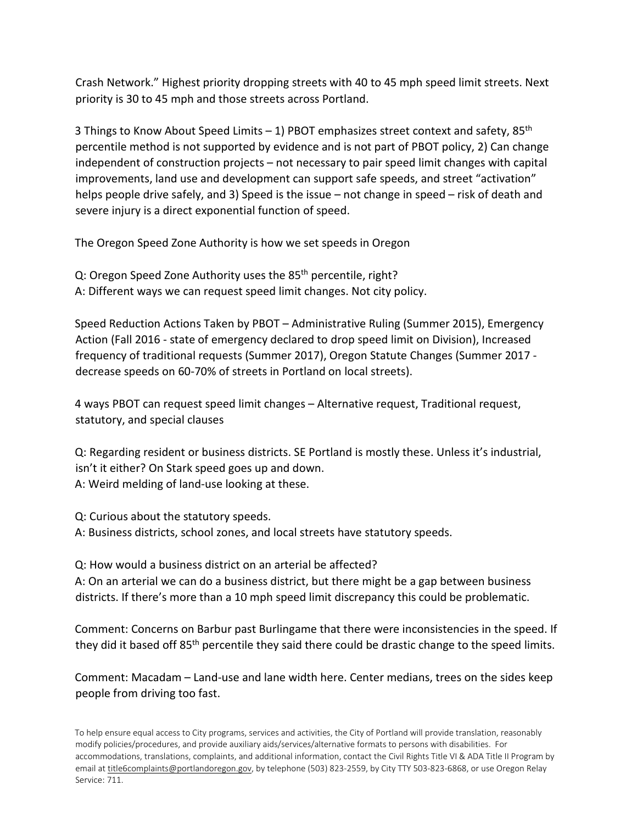Crash Network." Highest priority dropping streets with 40 to 45 mph speed limit streets. Next priority is 30 to 45 mph and those streets across Portland.

3 Things to Know About Speed Limits - 1) PBOT emphasizes street context and safety, 85<sup>th</sup> percentile method is not supported by evidence and is not part of PBOT policy, 2) Can change independent of construction projects – not necessary to pair speed limit changes with capital improvements, land use and development can support safe speeds, and street "activation" helps people drive safely, and 3) Speed is the issue – not change in speed – risk of death and severe injury is a direct exponential function of speed.

The Oregon Speed Zone Authority is how we set speeds in Oregon

Q: Oregon Speed Zone Authority uses the 85<sup>th</sup> percentile, right?

A: Different ways we can request speed limit changes. Not city policy.

Speed Reduction Actions Taken by PBOT – Administrative Ruling (Summer 2015), Emergency Action (Fall 2016 - state of emergency declared to drop speed limit on Division), Increased frequency of traditional requests (Summer 2017), Oregon Statute Changes (Summer 2017 decrease speeds on 60-70% of streets in Portland on local streets).

4 ways PBOT can request speed limit changes – Alternative request, Traditional request, statutory, and special clauses

Q: Regarding resident or business districts. SE Portland is mostly these. Unless it's industrial, isn't it either? On Stark speed goes up and down. A: Weird melding of land-use looking at these.

Q: Curious about the statutory speeds.

A: Business districts, school zones, and local streets have statutory speeds.

Q: How would a business district on an arterial be affected?

A: On an arterial we can do a business district, but there might be a gap between business districts. If there's more than a 10 mph speed limit discrepancy this could be problematic.

Comment: Concerns on Barbur past Burlingame that there were inconsistencies in the speed. If they did it based off 85<sup>th</sup> percentile they said there could be drastic change to the speed limits.

Comment: Macadam – Land-use and lane width here. Center medians, trees on the sides keep people from driving too fast.